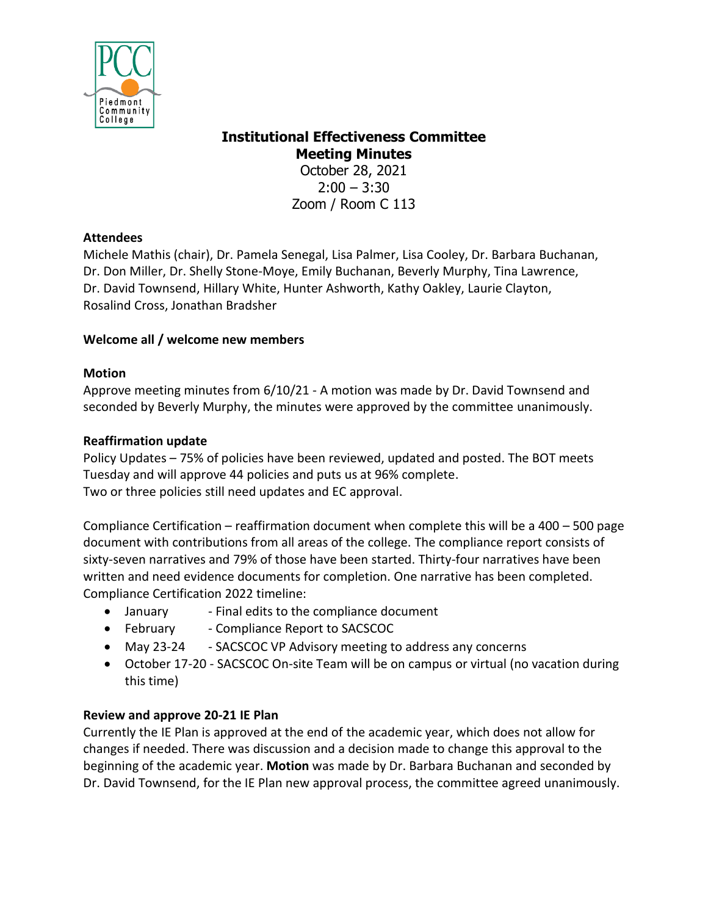

# **Institutional Effectiveness Committee Meeting Minutes**

October 28, 2021  $2:00 - 3:30$ Zoom / Room C 113

### **Attendees**

Michele Mathis (chair), Dr. Pamela Senegal, Lisa Palmer, Lisa Cooley, Dr. Barbara Buchanan, Dr. Don Miller, Dr. Shelly Stone-Moye, Emily Buchanan, Beverly Murphy, Tina Lawrence, Dr. David Townsend, Hillary White, Hunter Ashworth, Kathy Oakley, Laurie Clayton, Rosalind Cross, Jonathan Bradsher

## **Welcome all / welcome new members**

## **Motion**

Approve meeting minutes from 6/10/21 - A motion was made by Dr. David Townsend and seconded by Beverly Murphy, the minutes were approved by the committee unanimously.

### **Reaffirmation update**

Policy Updates – 75% of policies have been reviewed, updated and posted. The BOT meets Tuesday and will approve 44 policies and puts us at 96% complete. Two or three policies still need updates and EC approval.

Compliance Certification – reaffirmation document when complete this will be a 400 – 500 page document with contributions from all areas of the college. The compliance report consists of sixty-seven narratives and 79% of those have been started. Thirty-four narratives have been written and need evidence documents for completion. One narrative has been completed. Compliance Certification 2022 timeline:

- January Final edits to the compliance document
- February Compliance Report to SACSCOC
- May 23-24 SACSCOC VP Advisory meeting to address any concerns
- October 17-20 SACSCOC On-site Team will be on campus or virtual (no vacation during this time)

# **Review and approve 20-21 IE Plan**

Currently the IE Plan is approved at the end of the academic year, which does not allow for changes if needed. There was discussion and a decision made to change this approval to the beginning of the academic year. **Motion** was made by Dr. Barbara Buchanan and seconded by Dr. David Townsend, for the IE Plan new approval process, the committee agreed unanimously.